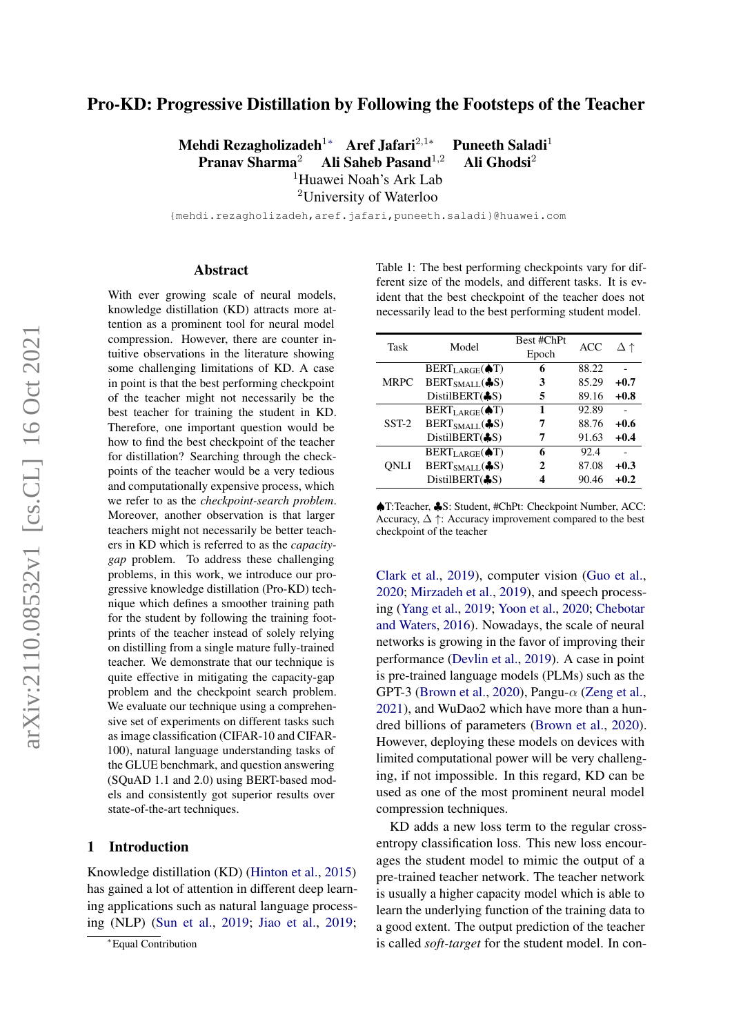# Pro-KD: Progressive Distillation by Following the Footsteps of the Teacher

Mehdi Rezagholizadeh<sup>1</sup><sup>∗</sup> Aref Jafari<sup>2,1</sup> Puneeth Saladi<sup>1</sup> Pranav Sharma<sup>2</sup> Ali Saheb Pasand<sup>1,2</sup> Ali Ghodsi<sup>2</sup> <sup>1</sup>Huawei Noah's Ark Lab

<sup>2</sup>University of Waterloo

{mehdi.rezagholizadeh,aref.jafari,puneeth.saladi}@huawei.com

#### Abstract

With ever growing scale of neural models, knowledge distillation (KD) attracts more attention as a prominent tool for neural model compression. However, there are counter intuitive observations in the literature showing some challenging limitations of KD. A case in point is that the best performing checkpoint of the teacher might not necessarily be the best teacher for training the student in KD. Therefore, one important question would be how to find the best checkpoint of the teacher for distillation? Searching through the checkpoints of the teacher would be a very tedious and computationally expensive process, which we refer to as the *checkpoint-search problem*. Moreover, another observation is that larger teachers might not necessarily be better teachers in KD which is referred to as the *capacitygap* problem. To address these challenging problems, in this work, we introduce our progressive knowledge distillation (Pro-KD) technique which defines a smoother training path for the student by following the training footprints of the teacher instead of solely relying on distilling from a single mature fully-trained teacher. We demonstrate that our technique is quite effective in mitigating the capacity-gap problem and the checkpoint search problem. We evaluate our technique using a comprehensive set of experiments on different tasks such as image classification (CIFAR-10 and CIFAR-100), natural language understanding tasks of the GLUE benchmark, and question answering (SQuAD 1.1 and 2.0) using BERT-based models and consistently got superior results over state-of-the-art techniques.

#### 1 Introduction

Knowledge distillation (KD) [\(Hinton et al.,](#page-8-0) [2015\)](#page-8-0) has gained a lot of attention in different deep learning applications such as natural language processing (NLP) [\(Sun et al.,](#page-9-0) [2019;](#page-9-1) [Jiao et al.,](#page-8-1) [2019;](#page-8-1)

<span id="page-0-0"></span>Table 1: The best performing checkpoints vary for different size of the models, and different tasks. It is evident that the best checkpoint of the teacher does not necessarily lead to the best performing student model.

| Task    | Model                           | Best #ChPt<br>Epoch | ACC   | Δ↑     |
|---------|---------------------------------|---------------------|-------|--------|
|         | $BERT_{LARGE}$ ( $\bigcirc T$ ) | 6                   | 88.22 |        |
| MRPC    | $BERT_{SMALL}$ ( $\clubsuit$ S) | 3                   | 85.29 | $+0.7$ |
|         | DistilBERT $(S)$                | 5                   | 89.16 | $+0.8$ |
|         | $BERTLARGE(\spadesuit T)$       | 1                   | 92.89 |        |
| $SST-2$ | $BERT_{SMALL}$ ( $\clubsuit$ S) | 7                   | 88.76 | $+0.6$ |
|         | DistilBERT $(S)$                | 7                   | 91.63 | $+0.4$ |
|         | $BERTLARGE(\spadesuit T)$       | 6                   | 92.4  |        |
| ONLI    | $BERT_{SMALL}$ ( $\clubsuit$ S) | 2                   | 87.08 | $+0.3$ |
|         | DistilBERT(\$S)                 |                     | 90.46 | $+0.2$ |

♠T:Teacher, ♣S: Student, #ChPt: Checkpoint Number, ACC: Accuracy,  $\Delta \uparrow$ : Accuracy improvement compared to the best checkpoint of the teacher

[Clark et al.,](#page-8-2) [2019\)](#page-8-2), computer vision [\(Guo et al.,](#page-8-3) [2020;](#page-8-3) [Mirzadeh et al.,](#page-9-2) [2019\)](#page-9-2), and speech processing [\(Yang et al.,](#page-9-3) [2019;](#page-9-3) [Yoon et al.,](#page-9-4) [2020;](#page-9-4) [Chebotar](#page-8-4) [and Waters,](#page-8-4) [2016\)](#page-8-4). Nowadays, the scale of neural networks is growing in the favor of improving their performance [\(Devlin et al.,](#page-8-5) [2019\)](#page-8-5). A case in point is pre-trained language models (PLMs) such as the GPT-3 [\(Brown et al.,](#page-8-6) [2020\)](#page-8-6), Pangu- $\alpha$  [\(Zeng et al.,](#page-9-5) [2021\)](#page-9-5), and WuDao2 which have more than a hundred billions of parameters [\(Brown et al.,](#page-8-6) [2020\)](#page-8-6). However, deploying these models on devices with limited computational power will be very challenging, if not impossible. In this regard, KD can be used as one of the most prominent neural model compression techniques.

KD adds a new loss term to the regular crossentropy classification loss. This new loss encourages the student model to mimic the output of a pre-trained teacher network. The teacher network is usually a higher capacity model which is able to learn the underlying function of the training data to a good extent. The output prediction of the teacher is called *soft-target* for the student model. In con-

<sup>∗</sup>Equal Contribution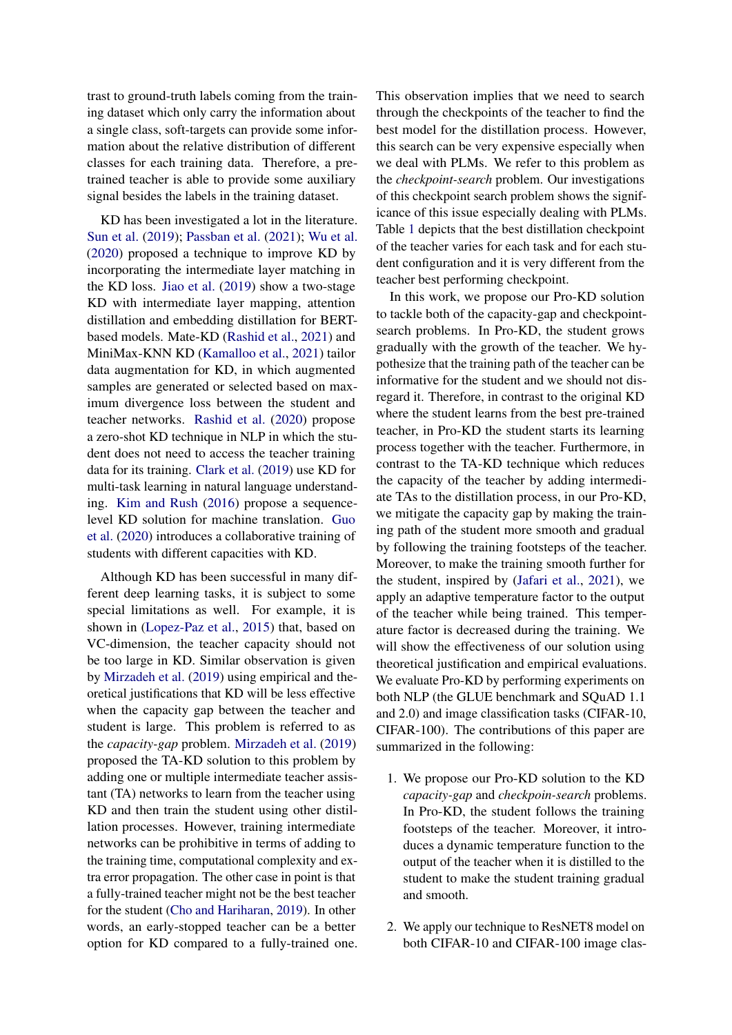trast to ground-truth labels coming from the training dataset which only carry the information about a single class, soft-targets can provide some information about the relative distribution of different classes for each training data. Therefore, a pretrained teacher is able to provide some auxiliary signal besides the labels in the training dataset.

KD has been investigated a lot in the literature. [Sun et al.](#page-9-1) [\(2019\)](#page-9-1); [Passban et al.](#page-9-6) [\(2021\)](#page-9-6); [Wu et al.](#page-9-7) [\(2020\)](#page-9-7) proposed a technique to improve KD by incorporating the intermediate layer matching in the KD loss. [Jiao et al.](#page-8-1) [\(2019\)](#page-8-1) show a two-stage KD with intermediate layer mapping, attention distillation and embedding distillation for BERTbased models. Mate-KD [\(Rashid et al.,](#page-9-8) [2021\)](#page-9-8) and MiniMax-KNN KD [\(Kamalloo et al.,](#page-8-7) [2021\)](#page-8-7) tailor data augmentation for KD, in which augmented samples are generated or selected based on maximum divergence loss between the student and teacher networks. [Rashid et al.](#page-9-9) [\(2020\)](#page-9-9) propose a zero-shot KD technique in NLP in which the student does not need to access the teacher training data for its training. [Clark et al.](#page-8-2) [\(2019\)](#page-8-2) use KD for multi-task learning in natural language understanding. [Kim and Rush](#page-8-8) [\(2016\)](#page-8-8) propose a sequencelevel KD solution for machine translation. [Guo](#page-8-3) [et al.](#page-8-3) [\(2020\)](#page-8-3) introduces a collaborative training of students with different capacities with KD.

Although KD has been successful in many different deep learning tasks, it is subject to some special limitations as well. For example, it is shown in [\(Lopez-Paz et al.,](#page-9-10) [2015\)](#page-9-10) that, based on VC-dimension, the teacher capacity should not be too large in KD. Similar observation is given by [Mirzadeh et al.](#page-9-2) [\(2019\)](#page-9-2) using empirical and theoretical justifications that KD will be less effective when the capacity gap between the teacher and student is large. This problem is referred to as the *capacity-gap* problem. [Mirzadeh et al.](#page-9-2) [\(2019\)](#page-9-2) proposed the TA-KD solution to this problem by adding one or multiple intermediate teacher assistant (TA) networks to learn from the teacher using KD and then train the student using other distillation processes. However, training intermediate networks can be prohibitive in terms of adding to the training time, computational complexity and extra error propagation. The other case in point is that a fully-trained teacher might not be the best teacher for the student [\(Cho and Hariharan,](#page-8-9) [2019\)](#page-8-9). In other words, an early-stopped teacher can be a better option for KD compared to a fully-trained one. This observation implies that we need to search through the checkpoints of the teacher to find the best model for the distillation process. However, this search can be very expensive especially when we deal with PLMs. We refer to this problem as the *checkpoint-search* problem. Our investigations of this checkpoint search problem shows the significance of this issue especially dealing with PLMs. Table [1](#page-0-0) depicts that the best distillation checkpoint of the teacher varies for each task and for each student configuration and it is very different from the teacher best performing checkpoint.

In this work, we propose our Pro-KD solution to tackle both of the capacity-gap and checkpointsearch problems. In Pro-KD, the student grows gradually with the growth of the teacher. We hypothesize that the training path of the teacher can be informative for the student and we should not disregard it. Therefore, in contrast to the original KD where the student learns from the best pre-trained teacher, in Pro-KD the student starts its learning process together with the teacher. Furthermore, in contrast to the TA-KD technique which reduces the capacity of the teacher by adding intermediate TAs to the distillation process, in our Pro-KD, we mitigate the capacity gap by making the training path of the student more smooth and gradual by following the training footsteps of the teacher. Moreover, to make the training smooth further for the student, inspired by [\(Jafari et al.,](#page-8-10) [2021\)](#page-8-10), we apply an adaptive temperature factor to the output of the teacher while being trained. This temperature factor is decreased during the training. We will show the effectiveness of our solution using theoretical justification and empirical evaluations. We evaluate Pro-KD by performing experiments on both NLP (the GLUE benchmark and SQuAD 1.1 and 2.0) and image classification tasks (CIFAR-10, CIFAR-100). The contributions of this paper are summarized in the following:

- 1. We propose our Pro-KD solution to the KD *capacity-gap* and *checkpoin-search* problems. In Pro-KD, the student follows the training footsteps of the teacher. Moreover, it introduces a dynamic temperature function to the output of the teacher when it is distilled to the student to make the student training gradual and smooth.
- 2. We apply our technique to ResNET8 model on both CIFAR-10 and CIFAR-100 image clas-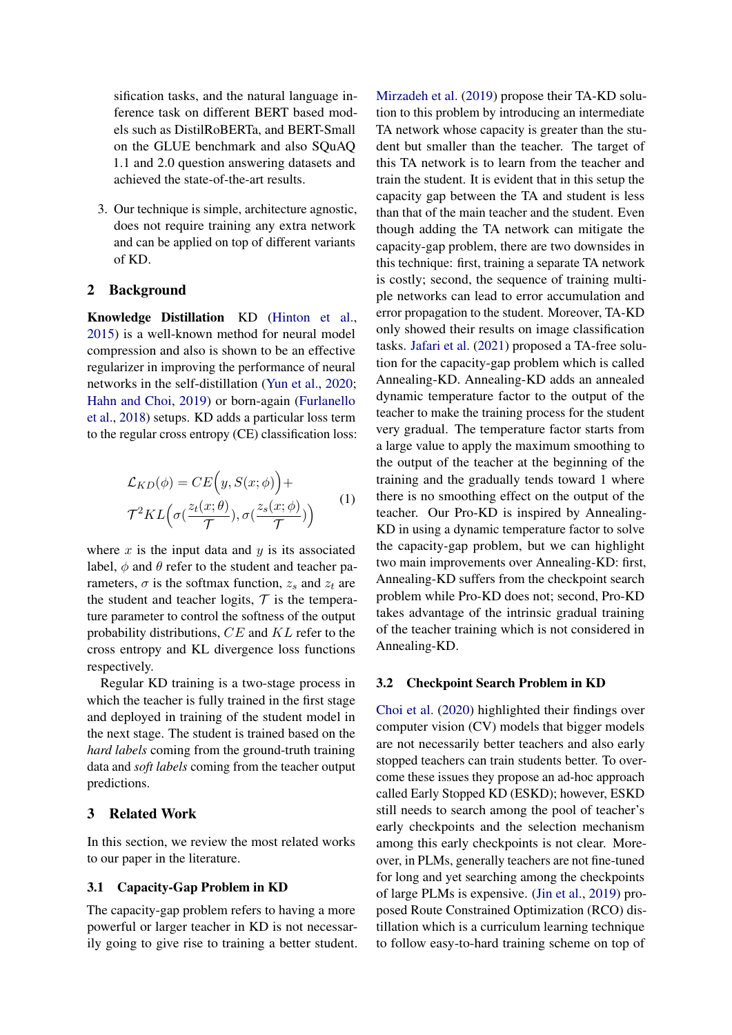sification tasks, and the natural language inference task on different BERT based models such as DistilRoBERTa, and BERT-Small on the GLUE benchmark and also SQuAQ 1.1 and 2.0 question answering datasets and achieved the state-of-the-art results.

3. Our technique is simple, architecture agnostic, does not require training any extra network and can be applied on top of different variants of KD.

### 2 Background

Knowledge Distillation KD [\(Hinton et al.,](#page-8-0) [2015\)](#page-8-0) is a well-known method for neural model compression and also is shown to be an effective regularizer in improving the performance of neural networks in the self-distillation [\(Yun et al.,](#page-9-11) [2020;](#page-9-11) [Hahn and Choi,](#page-8-11) [2019\)](#page-8-11) or born-again [\(Furlanello](#page-8-12) [et al.,](#page-8-12) [2018\)](#page-8-12) setups. KD adds a particular loss term to the regular cross entropy (CE) classification loss:

$$
\mathcal{L}_{KD}(\phi) = CE(y, S(x; \phi)) +
$$
  

$$
\mathcal{T}^2 KL\left(\sigma(\frac{z_t(x; \theta)}{\mathcal{T}}), \sigma(\frac{z_s(x; \phi)}{\mathcal{T}})\right)
$$
 (1)

where  $x$  is the input data and  $y$  is its associated label,  $\phi$  and  $\theta$  refer to the student and teacher parameters,  $\sigma$  is the softmax function,  $z_s$  and  $z_t$  are the student and teacher logits,  $\mathcal T$  is the temperature parameter to control the softness of the output probability distributions, CE and KL refer to the cross entropy and KL divergence loss functions respectively.

Regular KD training is a two-stage process in which the teacher is fully trained in the first stage and deployed in training of the student model in the next stage. The student is trained based on the *hard labels* coming from the ground-truth training data and *soft labels* coming from the teacher output predictions.

## 3 Related Work

In this section, we review the most related works to our paper in the literature.

### 3.1 Capacity-Gap Problem in KD

The capacity-gap problem refers to having a more powerful or larger teacher in KD is not necessarily going to give rise to training a better student. [Mirzadeh et al.](#page-9-2) [\(2019\)](#page-9-2) propose their TA-KD solution to this problem by introducing an intermediate TA network whose capacity is greater than the student but smaller than the teacher. The target of this TA network is to learn from the teacher and train the student. It is evident that in this setup the capacity gap between the TA and student is less than that of the main teacher and the student. Even though adding the TA network can mitigate the capacity-gap problem, there are two downsides in this technique: first, training a separate TA network is costly; second, the sequence of training multiple networks can lead to error accumulation and error propagation to the student. Moreover, TA-KD only showed their results on image classification tasks. [Jafari et al.](#page-8-10) [\(2021\)](#page-8-10) proposed a TA-free solution for the capacity-gap problem which is called Annealing-KD. Annealing-KD adds an annealed dynamic temperature factor to the output of the teacher to make the training process for the student very gradual. The temperature factor starts from a large value to apply the maximum smoothing to the output of the teacher at the beginning of the training and the gradually tends toward 1 where there is no smoothing effect on the output of the teacher. Our Pro-KD is inspired by Annealing-KD in using a dynamic temperature factor to solve the capacity-gap problem, but we can highlight two main improvements over Annealing-KD: first, Annealing-KD suffers from the checkpoint search problem while Pro-KD does not; second, Pro-KD takes advantage of the intrinsic gradual training of the teacher training which is not considered in Annealing-KD.

### 3.2 Checkpoint Search Problem in KD

[Choi et al.](#page-8-13) [\(2020\)](#page-8-13) highlighted their findings over computer vision (CV) models that bigger models are not necessarily better teachers and also early stopped teachers can train students better. To overcome these issues they propose an ad-hoc approach called Early Stopped KD (ESKD); however, ESKD still needs to search among the pool of teacher's early checkpoints and the selection mechanism among this early checkpoints is not clear. Moreover, in PLMs, generally teachers are not fine-tuned for long and yet searching among the checkpoints of large PLMs is expensive. [\(Jin et al.,](#page-8-14) [2019\)](#page-8-14) proposed Route Constrained Optimization (RCO) distillation which is a curriculum learning technique to follow easy-to-hard training scheme on top of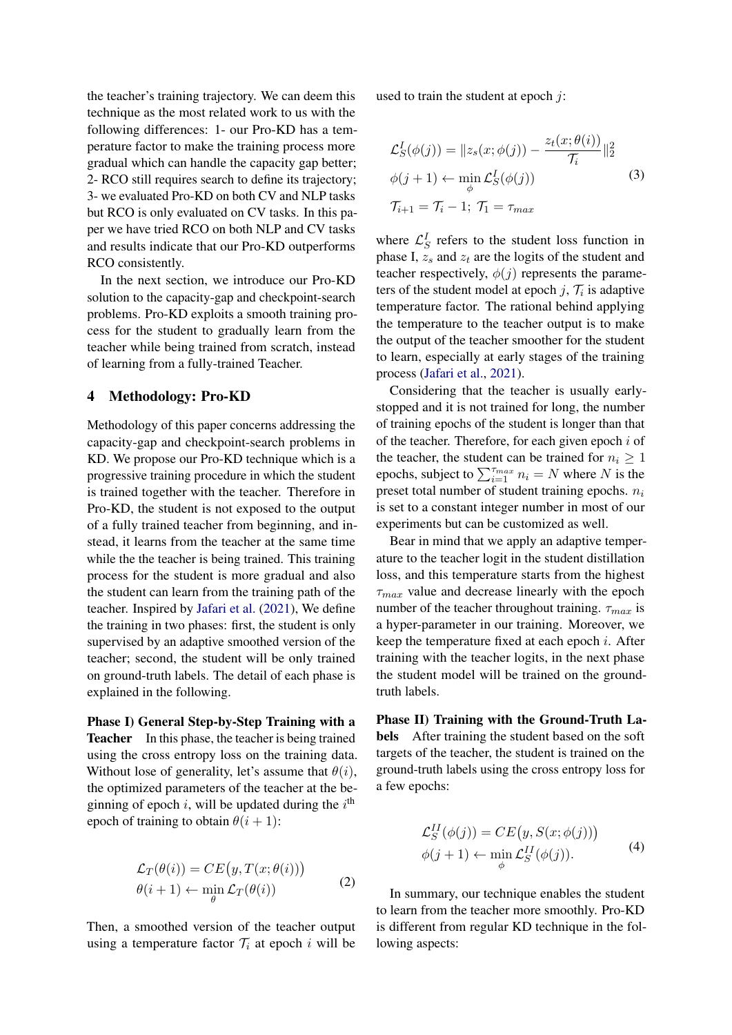the teacher's training trajectory. We can deem this technique as the most related work to us with the following differences: 1- our Pro-KD has a temperature factor to make the training process more gradual which can handle the capacity gap better; 2- RCO still requires search to define its trajectory; 3- we evaluated Pro-KD on both CV and NLP tasks but RCO is only evaluated on CV tasks. In this paper we have tried RCO on both NLP and CV tasks and results indicate that our Pro-KD outperforms RCO consistently.

In the next section, we introduce our Pro-KD solution to the capacity-gap and checkpoint-search problems. Pro-KD exploits a smooth training process for the student to gradually learn from the teacher while being trained from scratch, instead of learning from a fully-trained Teacher.

#### 4 Methodology: Pro-KD

Methodology of this paper concerns addressing the capacity-gap and checkpoint-search problems in KD. We propose our Pro-KD technique which is a progressive training procedure in which the student is trained together with the teacher. Therefore in Pro-KD, the student is not exposed to the output of a fully trained teacher from beginning, and instead, it learns from the teacher at the same time while the the teacher is being trained. This training process for the student is more gradual and also the student can learn from the training path of the teacher. Inspired by [Jafari et al.](#page-8-10) [\(2021\)](#page-8-10), We define the training in two phases: first, the student is only supervised by an adaptive smoothed version of the teacher; second, the student will be only trained on ground-truth labels. The detail of each phase is explained in the following.

Phase I) General Step-by-Step Training with a Teacher In this phase, the teacher is being trained using the cross entropy loss on the training data. Without lose of generality, let's assume that  $\theta(i)$ , the optimized parameters of the teacher at the beginning of epoch *i*, will be updated during the  $i^{\text{th}}$ epoch of training to obtain  $\theta(i + 1)$ :

$$
\mathcal{L}_T(\theta(i)) = CE(y, T(x; \theta(i))) \n\theta(i+1) \leftarrow \min_{\theta} \mathcal{L}_T(\theta(i))
$$
\n(2)

Then, a smoothed version of the teacher output using a temperature factor  $\mathcal{T}_i$  at epoch i will be used to train the student at epoch  $j$ :

$$
\mathcal{L}_S^I(\phi(j)) = \|z_s(x; \phi(j)) - \frac{z_t(x; \theta(i))}{\mathcal{T}_i}\|_2^2
$$
  

$$
\phi(j+1) \leftarrow \min_{\phi} \mathcal{L}_S^I(\phi(j))
$$
  

$$
\mathcal{T}_{i+1} = \mathcal{T}_i - 1; \ \mathcal{T}_1 = \tau_{max}
$$
 (3)

where  $\mathcal{L}_S^I$  refers to the student loss function in phase I,  $z_s$  and  $z_t$  are the logits of the student and teacher respectively,  $\phi(j)$  represents the parameters of the student model at epoch  $j$ ,  $\mathcal{T}_i$  is adaptive temperature factor. The rational behind applying the temperature to the teacher output is to make the output of the teacher smoother for the student to learn, especially at early stages of the training process [\(Jafari et al.,](#page-8-10) [2021\)](#page-8-10).

Considering that the teacher is usually earlystopped and it is not trained for long, the number of training epochs of the student is longer than that of the teacher. Therefore, for each given epoch  $i$  of the teacher, the student can be trained for  $n_i \geq 1$ epochs, subject to  $\sum_{i=1}^{T_{max}} n_i = N$  where N is the preset total number of student training epochs.  $n_i$ is set to a constant integer number in most of our experiments but can be customized as well.

Bear in mind that we apply an adaptive temperature to the teacher logit in the student distillation loss, and this temperature starts from the highest  $\tau_{max}$  value and decrease linearly with the epoch number of the teacher throughout training.  $\tau_{max}$  is a hyper-parameter in our training. Moreover, we keep the temperature fixed at each epoch  $i$ . After training with the teacher logits, in the next phase the student model will be trained on the groundtruth labels.

Phase II) Training with the Ground-Truth Labels After training the student based on the soft targets of the teacher, the student is trained on the ground-truth labels using the cross entropy loss for a few epochs:

$$
\mathcal{L}_S^{II}(\phi(j)) = CE(y, S(x; \phi(j))) \n\phi(j+1) \leftarrow \min_{\phi} \mathcal{L}_S^{II}(\phi(j)).
$$
\n(4)

In summary, our technique enables the student to learn from the teacher more smoothly. Pro-KD is different from regular KD technique in the following aspects: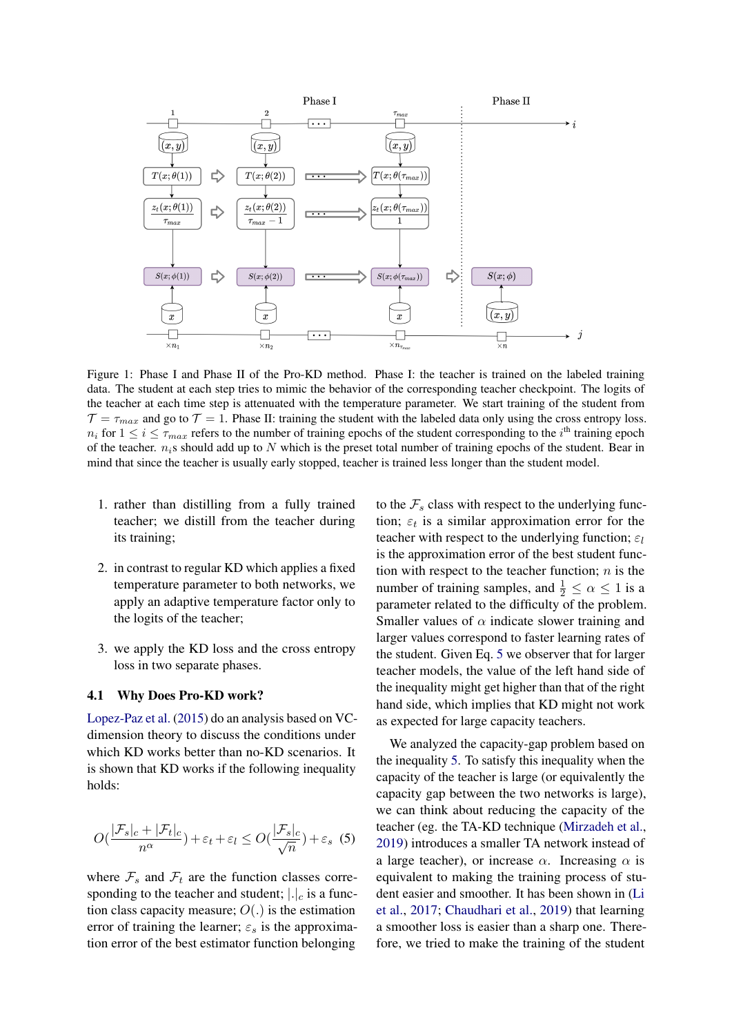

Figure 1: Phase I and Phase II of the Pro-KD method. Phase I: the teacher is trained on the labeled training data. The student at each step tries to mimic the behavior of the corresponding teacher checkpoint. The logits of the teacher at each time step is attenuated with the temperature parameter. We start training of the student from  $\mathcal{T} = \tau_{max}$  and go to  $\mathcal{T} = 1$ . Phase II: training the student with the labeled data only using the cross entropy loss.  $n_i$  for  $1 \le i \le \tau_{max}$  refers to the number of training epochs of the student corresponding to the  $i^{\text{th}}$  training epoch of the teacher.  $n_i$ s should add up to N which is the preset total number of training epochs of the student. Bear in mind that since the teacher is usually early stopped, teacher is trained less longer than the student model.

- 1. rather than distilling from a fully trained teacher; we distill from the teacher during its training;
- 2. in contrast to regular KD which applies a fixed temperature parameter to both networks, we apply an adaptive temperature factor only to the logits of the teacher;
- 3. we apply the KD loss and the cross entropy loss in two separate phases.

#### 4.1 Why Does Pro-KD work?

[Lopez-Paz et al.](#page-9-10) [\(2015\)](#page-9-10) do an analysis based on VCdimension theory to discuss the conditions under which KD works better than no-KD scenarios. It is shown that KD works if the following inequality holds:

<span id="page-4-0"></span>
$$
O\left(\frac{|\mathcal{F}_s|_c + |\mathcal{F}_t|_c}{n^{\alpha}}\right) + \varepsilon_t + \varepsilon_l \le O\left(\frac{|\mathcal{F}_s|_c}{\sqrt{n}}\right) + \varepsilon_s \tag{5}
$$

where  $\mathcal{F}_s$  and  $\mathcal{F}_t$  are the function classes corresponding to the teacher and student;  $|.|_c$  is a function class capacity measure;  $O(.)$  is the estimation error of training the learner;  $\varepsilon_s$  is the approximation error of the best estimator function belonging

to the  $\mathcal{F}_s$  class with respect to the underlying function;  $\varepsilon_t$  is a similar approximation error for the teacher with respect to the underlying function;  $\varepsilon_l$ is the approximation error of the best student function with respect to the teacher function;  $n$  is the number of training samples, and  $\frac{1}{2} \le \alpha \le 1$  is a parameter related to the difficulty of the problem. Smaller values of  $\alpha$  indicate slower training and larger values correspond to faster learning rates of the student. Given Eq. [5](#page-4-0) we observer that for larger teacher models, the value of the left hand side of the inequality might get higher than that of the right hand side, which implies that KD might not work as expected for large capacity teachers.

We analyzed the capacity-gap problem based on the inequality [5.](#page-4-0) To satisfy this inequality when the capacity of the teacher is large (or equivalently the capacity gap between the two networks is large), we can think about reducing the capacity of the teacher (eg. the TA-KD technique [\(Mirzadeh et al.,](#page-9-2) [2019\)](#page-9-2) introduces a smaller TA network instead of a large teacher), or increase  $\alpha$ . Increasing  $\alpha$  is equivalent to making the training process of student easier and smoother. It has been shown in [\(Li](#page-8-15) [et al.,](#page-8-15) [2017;](#page-8-15) [Chaudhari et al.,](#page-8-16) [2019\)](#page-8-16) that learning a smoother loss is easier than a sharp one. Therefore, we tried to make the training of the student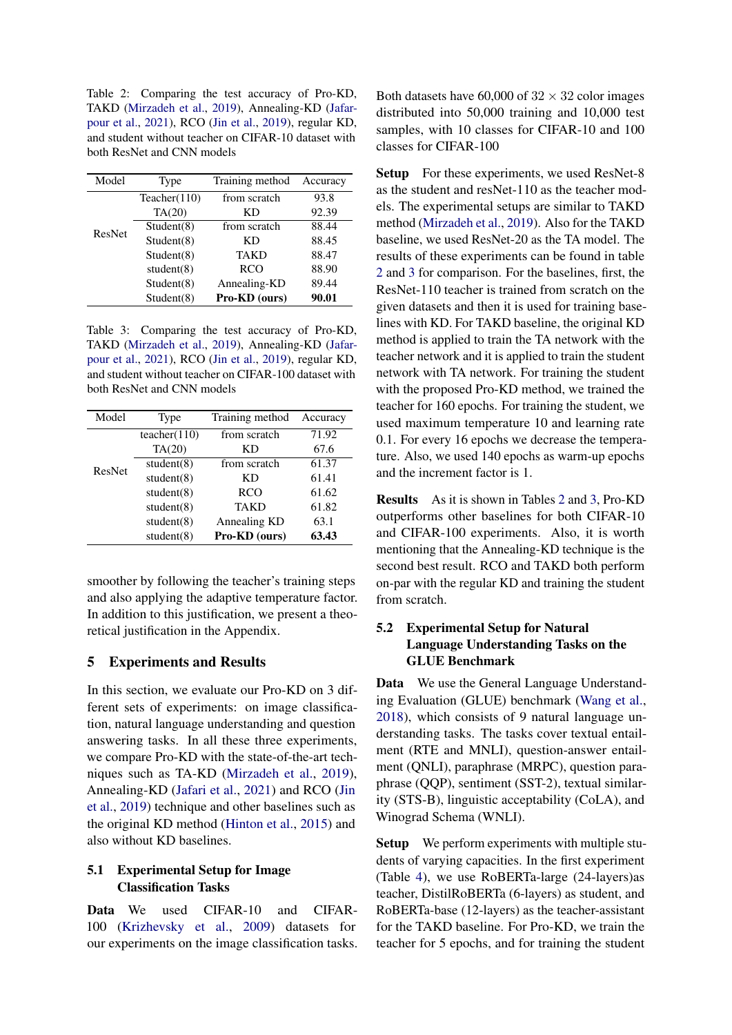<span id="page-5-0"></span>Table 2: Comparing the test accuracy of Pro-KD, TAKD [\(Mirzadeh et al.,](#page-9-2) [2019\)](#page-9-2), Annealing-KD [\(Jafar](#page-8-17)[pour et al.,](#page-8-17) [2021\)](#page-8-17), RCO [\(Jin et al.,](#page-8-14) [2019\)](#page-8-14), regular KD, and student without teacher on CIFAR-10 dataset with both ResNet and CNN models

| Model  | Type          | Training method | Accuracy |
|--------|---------------|-----------------|----------|
|        | Teacher(110)  | from scratch    | 93.8     |
| ResNet | TA(20)        | КD              | 92.39    |
|        | Student(8)    | from scratch    | 88.44    |
|        | Student(8)    | КD              | 88.45    |
|        | Student(8)    | <b>TAKD</b>     | 88.47    |
|        | student $(8)$ | <b>RCO</b>      | 88.90    |
|        | Student(8)    | Annealing-KD    | 89.44    |
|        | Student(8)    | Pro-KD (ours)   | 90.01    |

<span id="page-5-1"></span>Table 3: Comparing the test accuracy of Pro-KD, TAKD [\(Mirzadeh et al.,](#page-9-2) [2019\)](#page-9-2), Annealing-KD [\(Jafar](#page-8-17)[pour et al.,](#page-8-17) [2021\)](#page-8-17), RCO [\(Jin et al.,](#page-8-14) [2019\)](#page-8-14), regular KD, and student without teacher on CIFAR-100 dataset with both ResNet and CNN models

| Model  | Type          | Training method | Accuracy |
|--------|---------------|-----------------|----------|
|        | teacher(110)  | from scratch    | 71.92    |
|        | TA(20)        | КD              | 67.6     |
| ResNet | student $(8)$ | from scratch    | 61.37    |
|        | student $(8)$ | KD              | 61.41    |
|        | student $(8)$ | <b>RCO</b>      | 61.62    |
|        | student $(8)$ | <b>TAKD</b>     | 61.82    |
|        | student $(8)$ | Annealing KD    | 63.1     |
|        | student $(8)$ | Pro-KD (ours)   | 63.43    |

smoother by following the teacher's training steps and also applying the adaptive temperature factor. In addition to this justification, we present a theoretical justification in the Appendix.

### 5 Experiments and Results

In this section, we evaluate our Pro-KD on 3 different sets of experiments: on image classification, natural language understanding and question answering tasks. In all these three experiments, we compare Pro-KD with the state-of-the-art techniques such as TA-KD [\(Mirzadeh et al.,](#page-9-2) [2019\)](#page-9-2), Annealing-KD [\(Jafari et al.,](#page-8-10) [2021\)](#page-8-10) and RCO [\(Jin](#page-8-14) [et al.,](#page-8-14) [2019\)](#page-8-14) technique and other baselines such as the original KD method [\(Hinton et al.,](#page-8-0) [2015\)](#page-8-0) and also without KD baselines.

## 5.1 Experimental Setup for Image Classification Tasks

Data We used CIFAR-10 and CIFAR-100 [\(Krizhevsky et al.,](#page-8-18) [2009\)](#page-8-18) datasets for our experiments on the image classification tasks.

Both datasets have 60,000 of  $32 \times 32$  color images distributed into 50,000 training and 10,000 test samples, with 10 classes for CIFAR-10 and 100 classes for CIFAR-100

Setup For these experiments, we used ResNet-8 as the student and resNet-110 as the teacher models. The experimental setups are similar to TAKD method [\(Mirzadeh et al.,](#page-9-2) [2019\)](#page-9-2). Also for the TAKD baseline, we used ResNet-20 as the TA model. The results of these experiments can be found in table [2](#page-5-0) and [3](#page-5-1) for comparison. For the baselines, first, the ResNet-110 teacher is trained from scratch on the given datasets and then it is used for training baselines with KD. For TAKD baseline, the original KD method is applied to train the TA network with the teacher network and it is applied to train the student network with TA network. For training the student with the proposed Pro-KD method, we trained the teacher for 160 epochs. For training the student, we used maximum temperature 10 and learning rate 0.1. For every 16 epochs we decrease the temperature. Also, we used 140 epochs as warm-up epochs and the increment factor is 1.

Results As it is shown in Tables [2](#page-5-0) and [3,](#page-5-1) Pro-KD outperforms other baselines for both CIFAR-10 and CIFAR-100 experiments. Also, it is worth mentioning that the Annealing-KD technique is the second best result. RCO and TAKD both perform on-par with the regular KD and training the student from scratch.

## 5.2 Experimental Setup for Natural Language Understanding Tasks on the GLUE Benchmark

Data We use the General Language Understanding Evaluation (GLUE) benchmark [\(Wang et al.,](#page-9-12) [2018\)](#page-9-12), which consists of 9 natural language understanding tasks. The tasks cover textual entailment (RTE and MNLI), question-answer entailment (QNLI), paraphrase (MRPC), question paraphrase (QQP), sentiment (SST-2), textual similarity (STS-B), linguistic acceptability (CoLA), and Winograd Schema (WNLI).

Setup We perform experiments with multiple students of varying capacities. In the first experiment (Table [4\)](#page-6-0), we use RoBERTa-large (24-layers)as teacher, DistilRoBERTa (6-layers) as student, and RoBERTa-base (12-layers) as the teacher-assistant for the TAKD baseline. For Pro-KD, we train the teacher for 5 epochs, and for training the student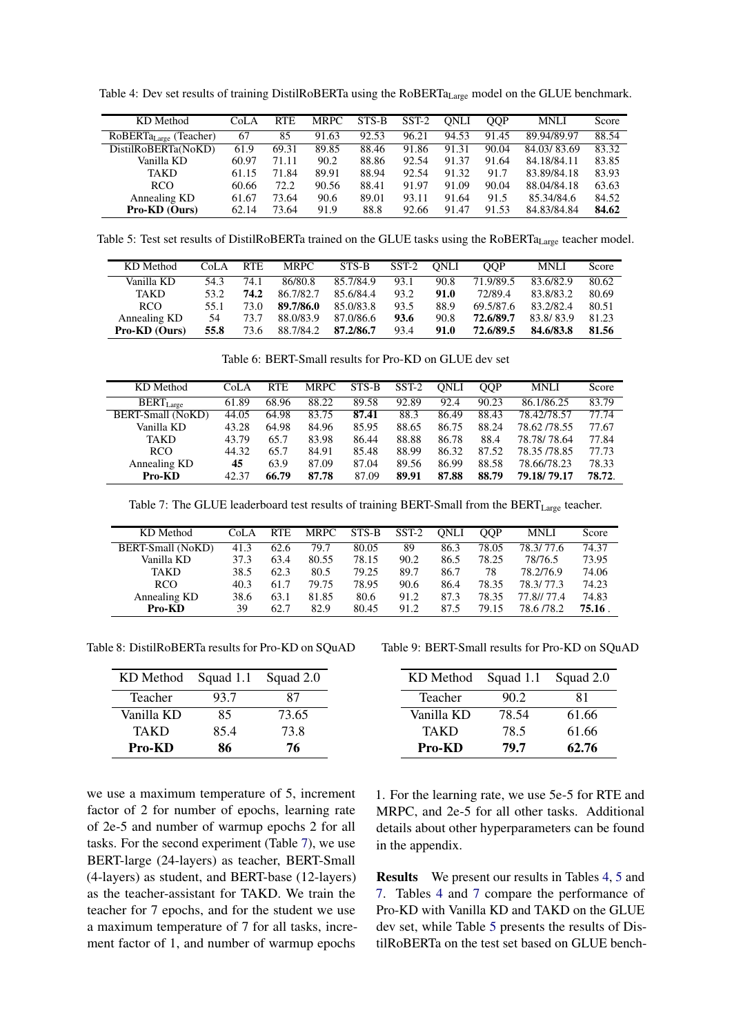<span id="page-6-0"></span>Table 4: Dev set results of training DistilRoBERTa using the RoBERTa<sub>Large</sub> model on the GLUE benchmark.

| KD Method                   | CoLA  | <b>RTE</b> | <b>MRPC</b> | STS-B | $SST-2$ | <b>ONLI</b> | <b>OOP</b> | <b>MNLI</b> | Score |
|-----------------------------|-------|------------|-------------|-------|---------|-------------|------------|-------------|-------|
| $RoBERTa_{Large}$ (Teacher) | 67    | 85         | 91.63       | 92.53 | 96.21   | 94.53       | 91.45      | 89.94/89.97 | 88.54 |
| DistilRoBERTa(NoKD)         | 61.9  | 69.31      | 89.85       | 88.46 | 91.86   | 91.31       | 90.04      | 84.03/83.69 | 83.32 |
| Vanilla KD                  | 60.97 | 71.11      | 90.2        | 88.86 | 92.54   | 91.37       | 91.64      | 84.18/84.11 | 83.85 |
| <b>TAKD</b>                 | 61.15 | 71.84      | 89.91       | 88.94 | 92.54   | 91.32       | 91.7       | 83.89/84.18 | 83.93 |
| RCO.                        | 60.66 | 72.2       | 90.56       | 88.41 | 91.97   | 91.09       | 90.04      | 88.04/84.18 | 63.63 |
| Annealing KD                | 61.67 | 73.64      | 90.6        | 89.01 | 93.11   | 91.64       | 91.5       | 85.34/84.6  | 84.52 |
| <b>Pro-KD</b> (Ours)        | 62.14 | 73.64      | 91.9        | 88.8  | 92.66   | 91.47       | 91.53      | 84.83/84.84 | 84.62 |

<span id="page-6-2"></span>Table 5: Test set results of DistilRoBERTa trained on the GLUE tasks using the RoBERTa<sub>Large</sub> teacher model.

| KD Method            | CoLA | <b>RTE</b> | MRPC      | STS-B     | SST-2 | ONLI | <b>OOP</b> | <b>MNLI</b> | Score |
|----------------------|------|------------|-----------|-----------|-------|------|------------|-------------|-------|
| Vanilla KD           | 54.3 | 74.1       | 86/80.8   | 85.7/84.9 | 93.1  | 90.8 | 71.9/89.5  | 83.6/82.9   | 80.62 |
| <b>TAKD</b>          | 53.2 | 74.2       | 86.7/82.7 | 85.6/84.4 | 93.2  | 91.0 | 72/89.4    | 83.8/83.2   | 80.69 |
| RCO.                 | 55.1 | 73.0       | 89.7/86.0 | 85.0/83.8 | 93.5  | 88.9 | 69.5/87.6  | 83.2/82.4   | 80.51 |
| Annealing KD         | 54   | 73.7       | 88.0/83.9 | 87.0/86.6 | 93.6  | 90.8 | 72.6/89.7  | 83.8/83.9   | 81.23 |
| <b>Pro-KD</b> (Ours) | 55.8 | 73.6       | 88.7/84.2 | 87.2/86.7 | 93.4  | 91.0 | 72.6/89.5  | 84.6/83.8   | 81.56 |

| Table 6: BERT-Small results for Pro-KD on GLUE dev set |  |
|--------------------------------------------------------|--|
|--------------------------------------------------------|--|

| KD Method         | CoLA  | <b>RTE</b> | <b>MRPC</b> | STS-B | $SST-2$ | ONLI  | OOP   | <b>MNLI</b>   | Score  |
|-------------------|-------|------------|-------------|-------|---------|-------|-------|---------------|--------|
| $BERT_{Large}$    | 61.89 | 68.96      | 88.22       | 89.58 | 92.89   | 92.4  | 90.23 | 86.1/86.25    | 83.79  |
| BERT-Small (NoKD) | 44.05 | 64.98      | 83.75       | 87.41 | 88.3    | 86.49 | 88.43 | 78.42/78.57   | 77.74  |
| Vanilla KD        | 43.28 | 64.98      | 84.96       | 85.95 | 88.65   | 86.75 | 88.24 | 78.62 / 78.55 | 77.67  |
| <b>TAKD</b>       | 43.79 | 65.7       | 83.98       | 86.44 | 88.88   | 86.78 | 88.4  | 78.78/78.64   | 77.84  |
| <b>RCO</b>        | 44.32 | 65.7       | 84.91       | 85.48 | 88.99   | 86.32 | 87.52 | 78.35 / 78.85 | 77.73  |
| Annealing KD      | 45    | 63.9       | 87.09       | 87.04 | 89.56   | 86.99 | 88.58 | 78.66/78.23   | 78.33  |
| Pro-KD            | 42.37 | 66.79      | 87.78       | 87.09 | 89.91   | 87.88 | 88.79 | 79.18/79.17   | 78.72. |

Table 7: The GLUE leaderboard test results of training BERT-Small from the BERT<sub>Large</sub> teacher.

<span id="page-6-1"></span>

| KD Method         | CoLA | <b>RTE</b> | <b>MRPC</b> | STS-B | $SST-2$ | ONLI | <b>OOP</b> | <b>MNLI</b> | Score |
|-------------------|------|------------|-------------|-------|---------|------|------------|-------------|-------|
| BERT-Small (NoKD) | 41.3 | 62.6       | 79.7        | 80.05 | 89      | 86.3 | 78.05      | 78.3/77.6   | 74.37 |
| Vanilla KD        | 37.3 | 63.4       | 80.55       | 78.15 | 90.2    | 86.5 | 78.25      | 78/76.5     | 73.95 |
| TAKD              | 38.5 | 62.3       | 80.5        | 79.25 | 89.7    | 86.7 | 78         | 78.2/76.9   | 74.06 |
| RCO               | 40.3 | 61.7       | 79.75       | 78.95 | 90.6    | 86.4 | 78.35      | 78.3/77.3   | 74.23 |
| Annealing KD      | 38.6 | 63.1       | 81.85       | 80.6  | 91.2    | 87.3 | 78.35      | 77.8/177.4  | 74.83 |
| Pro-KD            | 39   | 62.7       | 82.9        | 80.45 | 91.2    | 87.5 | 79.15      | 78.6/78.2   | 75.16 |

<span id="page-6-3"></span>Table 8: DistilRoBERTa results for Pro-KD on SQuAD

| KD Method     | Squad 1.1 | Squad 2.0 |
|---------------|-----------|-----------|
| Teacher       | 93.7      | 87        |
| Vanilla KD    | 85        | 73.65     |
| <b>TAKD</b>   | 85.4      | 73.8      |
| <b>Pro-KD</b> | 86        | 76        |

<span id="page-6-4"></span>Table 9: BERT-Small results for Pro-KD on SQuAD

| KD Method  | Squad 1.1 | Squad 2.0 |
|------------|-----------|-----------|
| Teacher    | 90.2      | 81        |
| Vanilla KD | 78.54     | 61.66     |
| TAKD       | 78.5      | 61.66     |
| Pro-KD     | 79.7      | 62.76     |

we use a maximum temperature of 5, increment factor of 2 for number of epochs, learning rate of 2e-5 and number of warmup epochs 2 for all tasks. For the second experiment (Table [7\)](#page-6-1), we use BERT-large (24-layers) as teacher, BERT-Small (4-layers) as student, and BERT-base (12-layers) as the teacher-assistant for TAKD. We train the teacher for 7 epochs, and for the student we use a maximum temperature of 7 for all tasks, increment factor of 1, and number of warmup epochs

1. For the learning rate, we use 5e-5 for RTE and MRPC, and 2e-5 for all other tasks. Additional details about other hyperparameters can be found in the appendix.

Results We present our results in Tables [4,](#page-6-0) [5](#page-6-2) and [7.](#page-6-1) Tables [4](#page-6-0) and [7](#page-6-1) compare the performance of Pro-KD with Vanilla KD and TAKD on the GLUE dev set, while Table [5](#page-6-2) presents the results of DistilRoBERTa on the test set based on GLUE bench-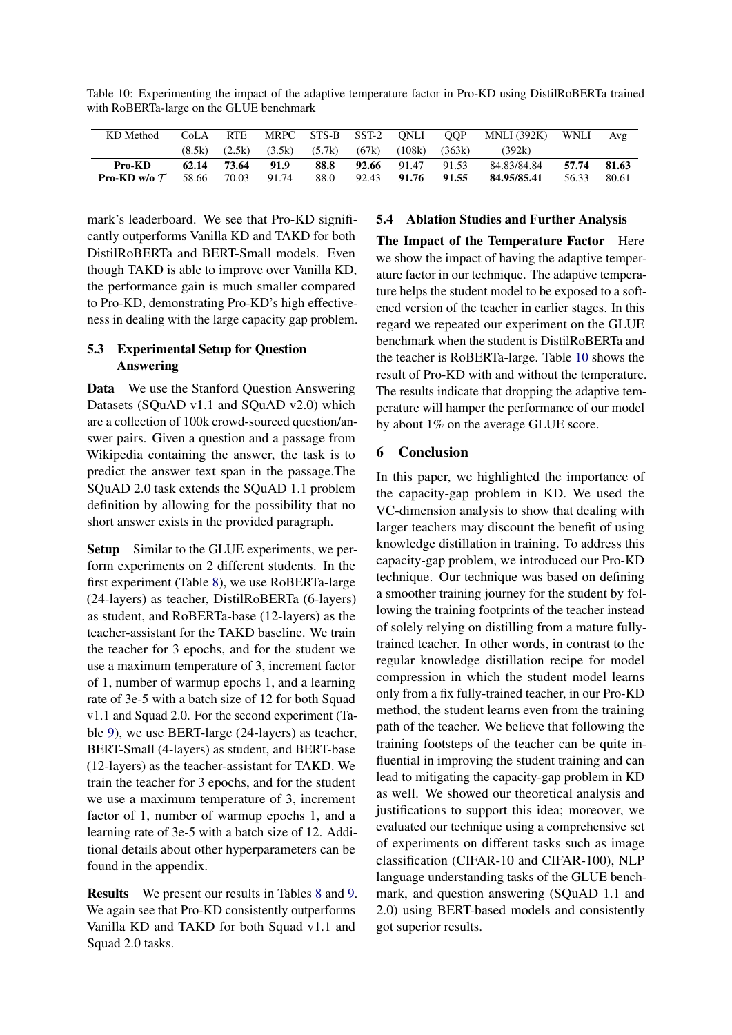<span id="page-7-0"></span>

| Table 10: Experimenting the impact of the adaptive temperature factor in Pro-KD using DistilRoBERTa trained |  |  |  |  |
|-------------------------------------------------------------------------------------------------------------|--|--|--|--|
| with RoBERTa-large on the GLUE benchmark                                                                    |  |  |  |  |

| KD Method                | CoLA   | <b>RTE</b>  |       | MRPC STS-B SST-2 ONLI OOP |       |        |        | <b>MNLI</b> (392K) | <b>WNLI</b> | Avg    |
|--------------------------|--------|-------------|-------|---------------------------|-------|--------|--------|--------------------|-------------|--------|
|                          | (8.5k) | (2.5k)      |       | $(3.5k)$ $(5.7k)$         | (67k) | (108k) | (363k) | (392k)             |             |        |
| Pro-KD                   |        | 62.14 73.64 | 91.9  | 88.8                      | 92.66 | 91.47  | 91.53  | 84.83/84.84        | 57.74       | -81.63 |
| <b>Pro-KD</b> w/o $\tau$ | 58.66  | 70.03       | 91.74 | 88.0                      | 92.43 | 91.76  | 91.55  | 84.95/85.41        | 56.33       | 80.61  |

mark's leaderboard. We see that Pro-KD significantly outperforms Vanilla KD and TAKD for both DistilRoBERTa and BERT-Small models. Even though TAKD is able to improve over Vanilla KD, the performance gain is much smaller compared to Pro-KD, demonstrating Pro-KD's high effectiveness in dealing with the large capacity gap problem.

## 5.3 Experimental Setup for Question Answering

Data We use the Stanford Question Answering Datasets (SQuAD v1.1 and SQuAD v2.0) which are a collection of 100k crowd-sourced question/answer pairs. Given a question and a passage from Wikipedia containing the answer, the task is to predict the answer text span in the passage.The SQuAD 2.0 task extends the SQuAD 1.1 problem definition by allowing for the possibility that no short answer exists in the provided paragraph.

Setup Similar to the GLUE experiments, we perform experiments on 2 different students. In the first experiment (Table [8\)](#page-6-3), we use RoBERTa-large (24-layers) as teacher, DistilRoBERTa (6-layers) as student, and RoBERTa-base (12-layers) as the teacher-assistant for the TAKD baseline. We train the teacher for 3 epochs, and for the student we use a maximum temperature of 3, increment factor of 1, number of warmup epochs 1, and a learning rate of 3e-5 with a batch size of 12 for both Squad v1.1 and Squad 2.0. For the second experiment (Table [9\)](#page-6-4), we use BERT-large (24-layers) as teacher, BERT-Small (4-layers) as student, and BERT-base (12-layers) as the teacher-assistant for TAKD. We train the teacher for 3 epochs, and for the student we use a maximum temperature of 3, increment factor of 1, number of warmup epochs 1, and a learning rate of 3e-5 with a batch size of 12. Additional details about other hyperparameters can be found in the appendix.

Results We present our results in Tables [8](#page-6-3) and [9.](#page-6-4) We again see that Pro-KD consistently outperforms Vanilla KD and TAKD for both Squad v1.1 and Squad 2.0 tasks.

## 5.4 Ablation Studies and Further Analysis

The Impact of the Temperature Factor Here we show the impact of having the adaptive temperature factor in our technique. The adaptive temperature helps the student model to be exposed to a softened version of the teacher in earlier stages. In this regard we repeated our experiment on the GLUE benchmark when the student is DistilRoBERTa and the teacher is RoBERTa-large. Table [10](#page-7-0) shows the result of Pro-KD with and without the temperature. The results indicate that dropping the adaptive temperature will hamper the performance of our model by about 1% on the average GLUE score.

## 6 Conclusion

In this paper, we highlighted the importance of the capacity-gap problem in KD. We used the VC-dimension analysis to show that dealing with larger teachers may discount the benefit of using knowledge distillation in training. To address this capacity-gap problem, we introduced our Pro-KD technique. Our technique was based on defining a smoother training journey for the student by following the training footprints of the teacher instead of solely relying on distilling from a mature fullytrained teacher. In other words, in contrast to the regular knowledge distillation recipe for model compression in which the student model learns only from a fix fully-trained teacher, in our Pro-KD method, the student learns even from the training path of the teacher. We believe that following the training footsteps of the teacher can be quite influential in improving the student training and can lead to mitigating the capacity-gap problem in KD as well. We showed our theoretical analysis and justifications to support this idea; moreover, we evaluated our technique using a comprehensive set of experiments on different tasks such as image classification (CIFAR-10 and CIFAR-100), NLP language understanding tasks of the GLUE benchmark, and question answering (SQuAD 1.1 and 2.0) using BERT-based models and consistently got superior results.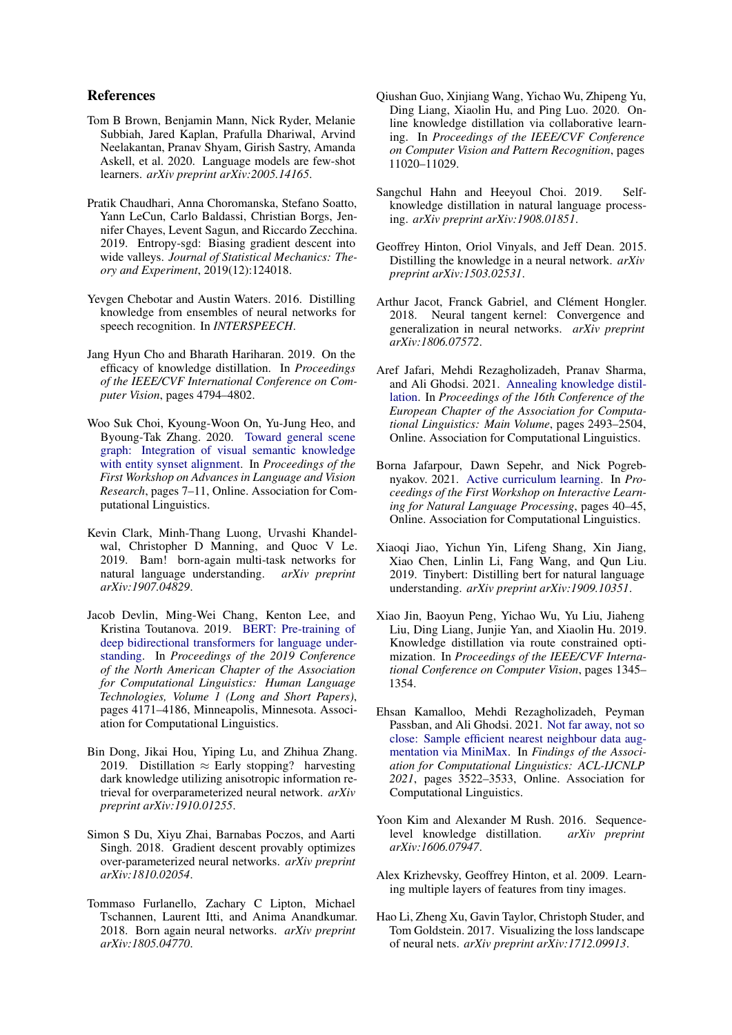### References

- <span id="page-8-6"></span>Tom B Brown, Benjamin Mann, Nick Ryder, Melanie Subbiah, Jared Kaplan, Prafulla Dhariwal, Arvind Neelakantan, Pranav Shyam, Girish Sastry, Amanda Askell, et al. 2020. Language models are few-shot learners. *arXiv preprint arXiv:2005.14165*.
- <span id="page-8-16"></span>Pratik Chaudhari, Anna Choromanska, Stefano Soatto, Yann LeCun, Carlo Baldassi, Christian Borgs, Jennifer Chayes, Levent Sagun, and Riccardo Zecchina. 2019. Entropy-sgd: Biasing gradient descent into wide valleys. *Journal of Statistical Mechanics: Theory and Experiment*, 2019(12):124018.
- <span id="page-8-4"></span>Yevgen Chebotar and Austin Waters. 2016. Distilling knowledge from ensembles of neural networks for speech recognition. In *INTERSPEECH*.
- <span id="page-8-9"></span>Jang Hyun Cho and Bharath Hariharan. 2019. On the efficacy of knowledge distillation. In *Proceedings of the IEEE/CVF International Conference on Computer Vision*, pages 4794–4802.
- <span id="page-8-13"></span>Woo Suk Choi, Kyoung-Woon On, Yu-Jung Heo, and Byoung-Tak Zhang. 2020. [Toward general scene](https://doi.org/10.18653/v1/2020.alvr-1.2) [graph: Integration of visual semantic knowledge](https://doi.org/10.18653/v1/2020.alvr-1.2) [with entity synset alignment.](https://doi.org/10.18653/v1/2020.alvr-1.2) In *Proceedings of the First Workshop on Advances in Language and Vision Research*, pages 7–11, Online. Association for Computational Linguistics.
- <span id="page-8-2"></span>Kevin Clark, Minh-Thang Luong, Urvashi Khandelwal, Christopher D Manning, and Quoc V Le. 2019. Bam! born-again multi-task networks for natural language understanding. *arXiv preprint arXiv:1907.04829*.
- <span id="page-8-5"></span>Jacob Devlin, Ming-Wei Chang, Kenton Lee, and Kristina Toutanova. 2019. [BERT: Pre-training of](https://doi.org/10.18653/v1/N19-1423) [deep bidirectional transformers for language under](https://doi.org/10.18653/v1/N19-1423)[standing.](https://doi.org/10.18653/v1/N19-1423) In *Proceedings of the 2019 Conference of the North American Chapter of the Association for Computational Linguistics: Human Language Technologies, Volume 1 (Long and Short Papers)*, pages 4171–4186, Minneapolis, Minnesota. Association for Computational Linguistics.
- <span id="page-8-19"></span>Bin Dong, Jikai Hou, Yiping Lu, and Zhihua Zhang. 2019. Distillation  $\approx$  Early stopping? harvesting dark knowledge utilizing anisotropic information retrieval for overparameterized neural network. *arXiv preprint arXiv:1910.01255*.
- <span id="page-8-20"></span>Simon S Du, Xiyu Zhai, Barnabas Poczos, and Aarti Singh. 2018. Gradient descent provably optimizes over-parameterized neural networks. *arXiv preprint arXiv:1810.02054*.
- <span id="page-8-12"></span>Tommaso Furlanello, Zachary C Lipton, Michael Tschannen, Laurent Itti, and Anima Anandkumar. 2018. Born again neural networks. *arXiv preprint arXiv:1805.04770*.
- <span id="page-8-3"></span>Qiushan Guo, Xinjiang Wang, Yichao Wu, Zhipeng Yu, Ding Liang, Xiaolin Hu, and Ping Luo. 2020. Online knowledge distillation via collaborative learning. In *Proceedings of the IEEE/CVF Conference on Computer Vision and Pattern Recognition*, pages 11020–11029.
- <span id="page-8-11"></span>Sangchul Hahn and Heeyoul Choi. 2019. Selfknowledge distillation in natural language processing. *arXiv preprint arXiv:1908.01851*.
- <span id="page-8-0"></span>Geoffrey Hinton, Oriol Vinyals, and Jeff Dean. 2015. Distilling the knowledge in a neural network. *arXiv preprint arXiv:1503.02531*.
- <span id="page-8-21"></span>Arthur Jacot, Franck Gabriel, and Clément Hongler. 2018. Neural tangent kernel: Convergence and generalization in neural networks. *arXiv preprint arXiv:1806.07572*.
- <span id="page-8-10"></span>Aref Jafari, Mehdi Rezagholizadeh, Pranav Sharma, and Ali Ghodsi. 2021. [Annealing knowledge distil](https://aclanthology.org/2021.eacl-main.212)[lation.](https://aclanthology.org/2021.eacl-main.212) In *Proceedings of the 16th Conference of the European Chapter of the Association for Computational Linguistics: Main Volume*, pages 2493–2504, Online. Association for Computational Linguistics.
- <span id="page-8-17"></span>Borna Jafarpour, Dawn Sepehr, and Nick Pogrebnyakov. 2021. [Active curriculum learning.](https://doi.org/10.18653/v1/2021.internlp-1.6) In *Proceedings of the First Workshop on Interactive Learning for Natural Language Processing*, pages 40–45, Online. Association for Computational Linguistics.
- <span id="page-8-1"></span>Xiaoqi Jiao, Yichun Yin, Lifeng Shang, Xin Jiang, Xiao Chen, Linlin Li, Fang Wang, and Qun Liu. 2019. Tinybert: Distilling bert for natural language understanding. *arXiv preprint arXiv:1909.10351*.
- <span id="page-8-14"></span>Xiao Jin, Baoyun Peng, Yichao Wu, Yu Liu, Jiaheng Liu, Ding Liang, Junjie Yan, and Xiaolin Hu. 2019. Knowledge distillation via route constrained optimization. In *Proceedings of the IEEE/CVF International Conference on Computer Vision*, pages 1345– 1354.
- <span id="page-8-7"></span>Ehsan Kamalloo, Mehdi Rezagholizadeh, Peyman Passban, and Ali Ghodsi. 2021. [Not far away, not so](https://doi.org/10.18653/v1/2021.findings-acl.309) [close: Sample efficient nearest neighbour data aug](https://doi.org/10.18653/v1/2021.findings-acl.309)[mentation via MiniMax.](https://doi.org/10.18653/v1/2021.findings-acl.309) In *Findings of the Association for Computational Linguistics: ACL-IJCNLP 2021*, pages 3522–3533, Online. Association for Computational Linguistics.
- <span id="page-8-8"></span>Yoon Kim and Alexander M Rush. 2016. Sequencelevel knowledge distillation. *arXiv preprint arXiv:1606.07947*.
- <span id="page-8-18"></span>Alex Krizhevsky, Geoffrey Hinton, et al. 2009. Learning multiple layers of features from tiny images.
- <span id="page-8-15"></span>Hao Li, Zheng Xu, Gavin Taylor, Christoph Studer, and Tom Goldstein. 2017. Visualizing the loss landscape of neural nets. *arXiv preprint arXiv:1712.09913*.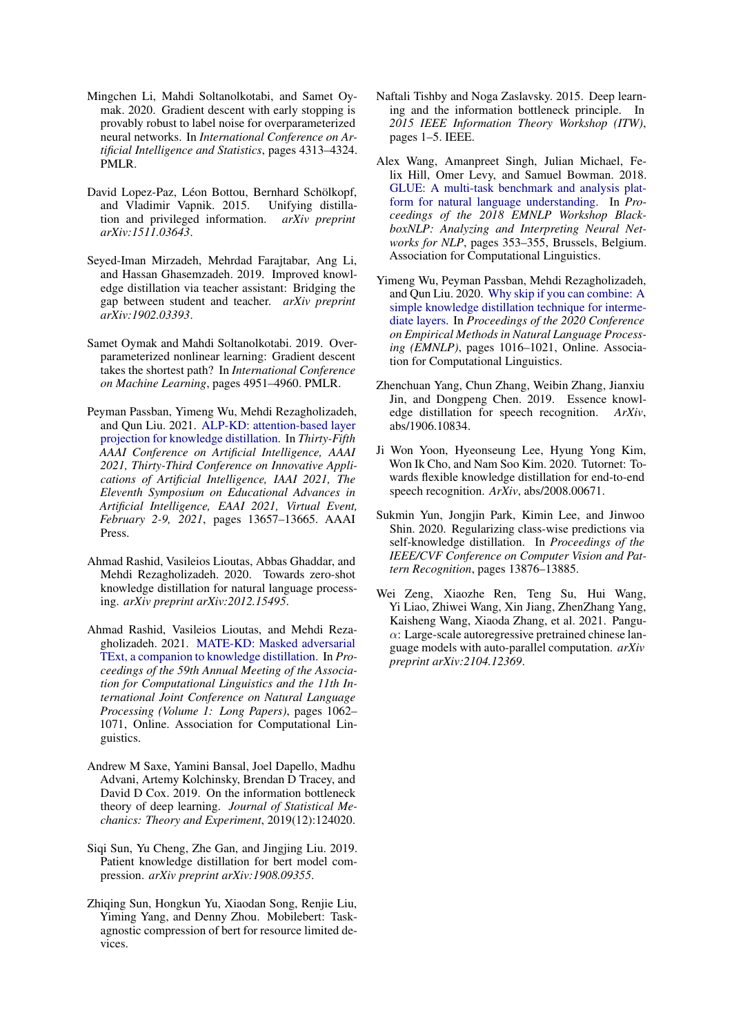- <span id="page-9-14"></span>Mingchen Li, Mahdi Soltanolkotabi, and Samet Oymak. 2020. Gradient descent with early stopping is provably robust to label noise for overparameterized neural networks. In *International Conference on Artificial Intelligence and Statistics*, pages 4313–4324. PMLR.
- <span id="page-9-10"></span>David Lopez-Paz, Léon Bottou, Bernhard Schölkopf, and Vladimir Vapnik. 2015. Unifying distillation and privileged information. *arXiv preprint arXiv:1511.03643*.
- <span id="page-9-2"></span>Seyed-Iman Mirzadeh, Mehrdad Farajtabar, Ang Li, and Hassan Ghasemzadeh. 2019. Improved knowledge distillation via teacher assistant: Bridging the gap between student and teacher. *arXiv preprint arXiv:1902.03393*.
- <span id="page-9-13"></span>Samet Oymak and Mahdi Soltanolkotabi. 2019. Overparameterized nonlinear learning: Gradient descent takes the shortest path? In *International Conference on Machine Learning*, pages 4951–4960. PMLR.
- <span id="page-9-6"></span>Peyman Passban, Yimeng Wu, Mehdi Rezagholizadeh, and Qun Liu. 2021. [ALP-KD: attention-based layer](https://ojs.aaai.org/index.php/AAAI/article/view/17610) [projection for knowledge distillation.](https://ojs.aaai.org/index.php/AAAI/article/view/17610) In *Thirty-Fifth AAAI Conference on Artificial Intelligence, AAAI 2021, Thirty-Third Conference on Innovative Applications of Artificial Intelligence, IAAI 2021, The Eleventh Symposium on Educational Advances in Artificial Intelligence, EAAI 2021, Virtual Event, February 2-9, 2021*, pages 13657–13665. AAAI Press.
- <span id="page-9-9"></span>Ahmad Rashid, Vasileios Lioutas, Abbas Ghaddar, and Mehdi Rezagholizadeh. 2020. Towards zero-shot knowledge distillation for natural language processing. *arXiv preprint arXiv:2012.15495*.
- <span id="page-9-8"></span>Ahmad Rashid, Vasileios Lioutas, and Mehdi Rezagholizadeh. 2021. [MATE-KD: Masked adversarial](https://doi.org/10.18653/v1/2021.acl-long.86) [TExt, a companion to knowledge distillation.](https://doi.org/10.18653/v1/2021.acl-long.86) In *Proceedings of the 59th Annual Meeting of the Association for Computational Linguistics and the 11th International Joint Conference on Natural Language Processing (Volume 1: Long Papers)*, pages 1062– 1071, Online. Association for Computational Linguistics.
- <span id="page-9-16"></span>Andrew M Saxe, Yamini Bansal, Joel Dapello, Madhu Advani, Artemy Kolchinsky, Brendan D Tracey, and David D Cox. 2019. On the information bottleneck theory of deep learning. *Journal of Statistical Mechanics: Theory and Experiment*, 2019(12):124020.
- <span id="page-9-1"></span>Siqi Sun, Yu Cheng, Zhe Gan, and Jingjing Liu. 2019. Patient knowledge distillation for bert model compression. *arXiv preprint arXiv:1908.09355*.
- <span id="page-9-0"></span>Zhiqing Sun, Hongkun Yu, Xiaodan Song, Renjie Liu, Yiming Yang, and Denny Zhou. Mobilebert: Taskagnostic compression of bert for resource limited devices.
- <span id="page-9-15"></span>Naftali Tishby and Noga Zaslavsky. 2015. Deep learning and the information bottleneck principle. In *2015 IEEE Information Theory Workshop (ITW)*, pages 1–5. IEEE.
- <span id="page-9-12"></span>Alex Wang, Amanpreet Singh, Julian Michael, Felix Hill, Omer Levy, and Samuel Bowman. 2018. [GLUE: A multi-task benchmark and analysis plat](https://doi.org/10.18653/v1/W18-5446)[form for natural language understanding.](https://doi.org/10.18653/v1/W18-5446) In *Proceedings of the 2018 EMNLP Workshop BlackboxNLP: Analyzing and Interpreting Neural Networks for NLP*, pages 353–355, Brussels, Belgium. Association for Computational Linguistics.
- <span id="page-9-7"></span>Yimeng Wu, Peyman Passban, Mehdi Rezagholizadeh, and Qun Liu. 2020. [Why skip if you can combine: A](https://doi.org/10.18653/v1/2020.emnlp-main.74) [simple knowledge distillation technique for interme](https://doi.org/10.18653/v1/2020.emnlp-main.74)[diate layers.](https://doi.org/10.18653/v1/2020.emnlp-main.74) In *Proceedings of the 2020 Conference on Empirical Methods in Natural Language Processing (EMNLP)*, pages 1016–1021, Online. Association for Computational Linguistics.
- <span id="page-9-3"></span>Zhenchuan Yang, Chun Zhang, Weibin Zhang, Jianxiu Jin, and Dongpeng Chen. 2019. Essence knowledge distillation for speech recognition. *ArXiv*, abs/1906.10834.
- <span id="page-9-4"></span>Ji Won Yoon, Hyeonseung Lee, Hyung Yong Kim, Won Ik Cho, and Nam Soo Kim. 2020. Tutornet: Towards flexible knowledge distillation for end-to-end speech recognition. *ArXiv*, abs/2008.00671.
- <span id="page-9-11"></span>Sukmin Yun, Jongjin Park, Kimin Lee, and Jinwoo Shin. 2020. Regularizing class-wise predictions via self-knowledge distillation. In *Proceedings of the IEEE/CVF Conference on Computer Vision and Pattern Recognition*, pages 13876–13885.
- <span id="page-9-5"></span>Wei Zeng, Xiaozhe Ren, Teng Su, Hui Wang, Yi Liao, Zhiwei Wang, Xin Jiang, ZhenZhang Yang, Kaisheng Wang, Xiaoda Zhang, et al. 2021. Pangu- $\alpha$ : Large-scale autoregressive pretrained chinese language models with auto-parallel computation. *arXiv preprint arXiv:2104.12369*.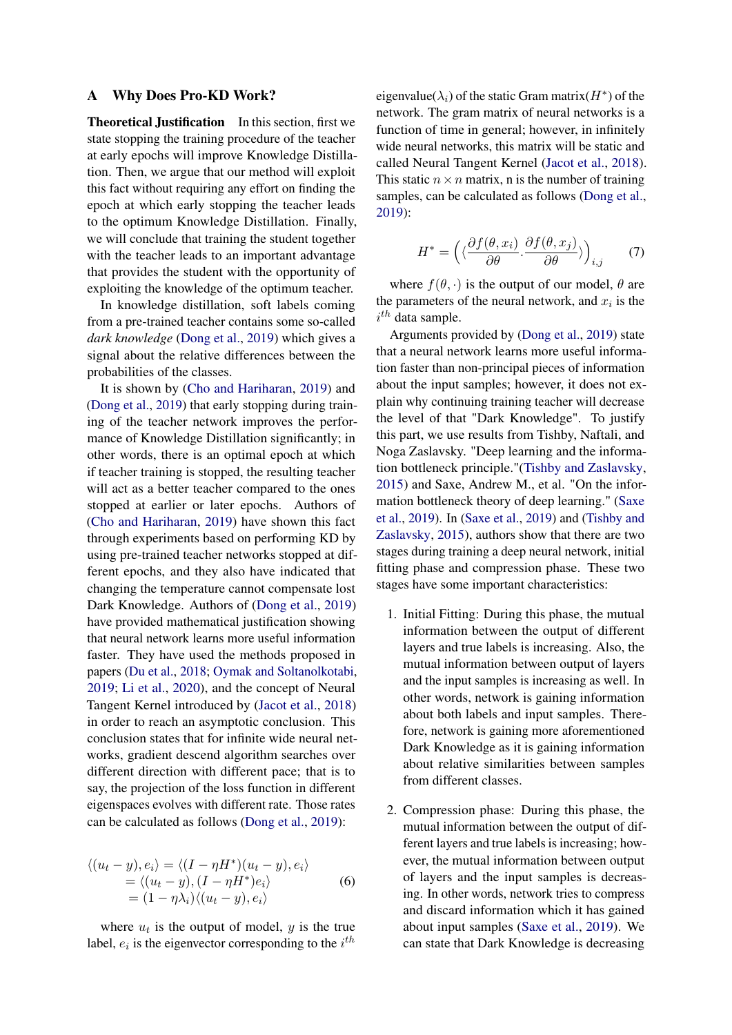#### A Why Does Pro-KD Work?

Theoretical Justification In this section, first we state stopping the training procedure of the teacher at early epochs will improve Knowledge Distillation. Then, we argue that our method will exploit this fact without requiring any effort on finding the epoch at which early stopping the teacher leads to the optimum Knowledge Distillation. Finally, we will conclude that training the student together with the teacher leads to an important advantage that provides the student with the opportunity of exploiting the knowledge of the optimum teacher.

In knowledge distillation, soft labels coming from a pre-trained teacher contains some so-called *dark knowledge* [\(Dong et al.,](#page-8-19) [2019\)](#page-8-19) which gives a signal about the relative differences between the probabilities of the classes.

It is shown by [\(Cho and Hariharan,](#page-8-9) [2019\)](#page-8-9) and [\(Dong et al.,](#page-8-19) [2019\)](#page-8-19) that early stopping during training of the teacher network improves the performance of Knowledge Distillation significantly; in other words, there is an optimal epoch at which if teacher training is stopped, the resulting teacher will act as a better teacher compared to the ones stopped at earlier or later epochs. Authors of [\(Cho and Hariharan,](#page-8-9) [2019\)](#page-8-9) have shown this fact through experiments based on performing KD by using pre-trained teacher networks stopped at different epochs, and they also have indicated that changing the temperature cannot compensate lost Dark Knowledge. Authors of [\(Dong et al.,](#page-8-19) [2019\)](#page-8-19) have provided mathematical justification showing that neural network learns more useful information faster. They have used the methods proposed in papers [\(Du et al.,](#page-8-20) [2018;](#page-8-20) [Oymak and Soltanolkotabi,](#page-9-13) [2019;](#page-9-13) [Li et al.,](#page-9-14) [2020\)](#page-9-14), and the concept of Neural Tangent Kernel introduced by [\(Jacot et al.,](#page-8-21) [2018\)](#page-8-21) in order to reach an asymptotic conclusion. This conclusion states that for infinite wide neural networks, gradient descend algorithm searches over different direction with different pace; that is to say, the projection of the loss function in different eigenspaces evolves with different rate. Those rates can be calculated as follows [\(Dong et al.,](#page-8-19) [2019\)](#page-8-19):

$$
\langle (u_t - y), e_i \rangle = \langle (I - \eta H^*)(u_t - y), e_i \rangle
$$
  
=  $\langle (u_t - y), (I - \eta H^*) e_i \rangle$   
=  $(1 - \eta \lambda_i) \langle (u_t - y), e_i \rangle$  (6)

where  $u_t$  is the output of model, y is the true label,  $e_i$  is the eigenvector corresponding to the  $i^{th}$ 

eigenvalue( $\lambda_i$ ) of the static Gram matrix( $H^*$ ) of the network. The gram matrix of neural networks is a function of time in general; however, in infinitely wide neural networks, this matrix will be static and called Neural Tangent Kernel [\(Jacot et al.,](#page-8-21) [2018\)](#page-8-21). This static  $n \times n$  matrix, n is the number of training samples, can be calculated as follows [\(Dong et al.,](#page-8-19) [2019\)](#page-8-19):

$$
H^* = \left( \langle \frac{\partial f(\theta, x_i)}{\partial \theta}, \frac{\partial f(\theta, x_j)}{\partial \theta} \rangle \right)_{i,j} \tag{7}
$$

where  $f(\theta, \cdot)$  is the output of our model,  $\theta$  are the parameters of the neural network, and  $x_i$  is the  $i^{th}$  data sample.

Arguments provided by [\(Dong et al.,](#page-8-19) [2019\)](#page-8-19) state that a neural network learns more useful information faster than non-principal pieces of information about the input samples; however, it does not explain why continuing training teacher will decrease the level of that "Dark Knowledge". To justify this part, we use results from Tishby, Naftali, and Noga Zaslavsky. "Deep learning and the information bottleneck principle."[\(Tishby and Zaslavsky,](#page-9-15) [2015\)](#page-9-15) and Saxe, Andrew M., et al. "On the information bottleneck theory of deep learning." [\(Saxe](#page-9-16) [et al.,](#page-9-16) [2019\)](#page-9-16). In [\(Saxe et al.,](#page-9-16) [2019\)](#page-9-16) and [\(Tishby and](#page-9-15) [Zaslavsky,](#page-9-15) [2015\)](#page-9-15), authors show that there are two stages during training a deep neural network, initial fitting phase and compression phase. These two stages have some important characteristics:

- 1. Initial Fitting: During this phase, the mutual information between the output of different layers and true labels is increasing. Also, the mutual information between output of layers and the input samples is increasing as well. In other words, network is gaining information about both labels and input samples. Therefore, network is gaining more aforementioned Dark Knowledge as it is gaining information about relative similarities between samples from different classes.
- 2. Compression phase: During this phase, the mutual information between the output of different layers and true labels is increasing; however, the mutual information between output of layers and the input samples is decreasing. In other words, network tries to compress and discard information which it has gained about input samples [\(Saxe et al.,](#page-9-16) [2019\)](#page-9-16). We can state that Dark Knowledge is decreasing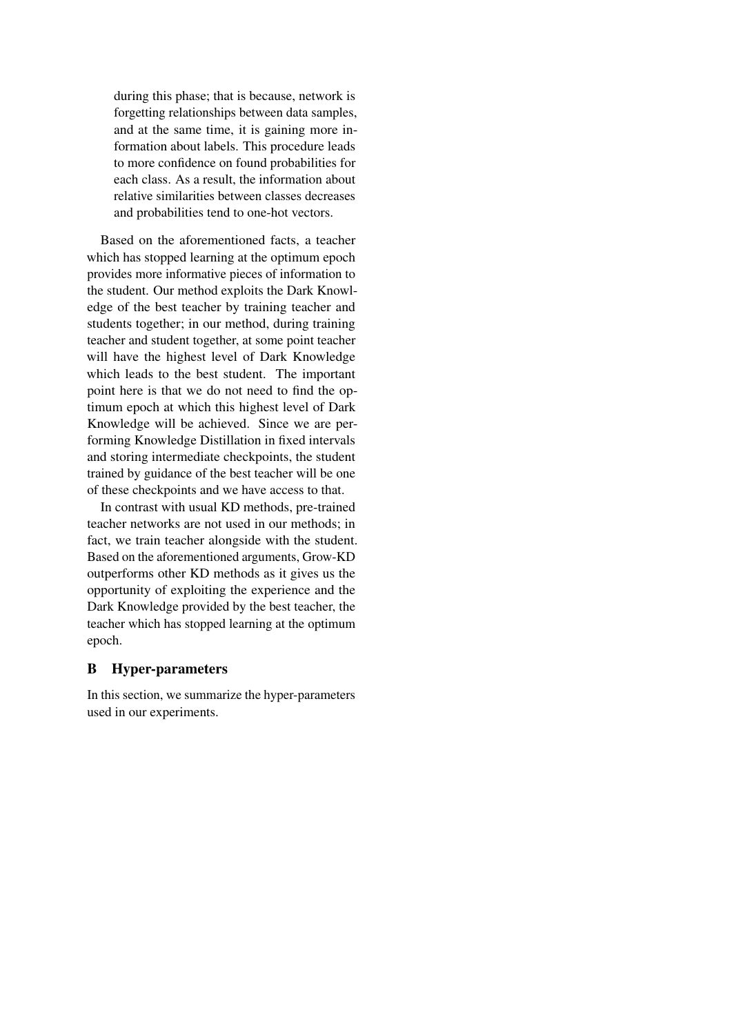during this phase; that is because, network is forgetting relationships between data samples, and at the same time, it is gaining more information about labels. This procedure leads to more confidence on found probabilities for each class. As a result, the information about relative similarities between classes decreases and probabilities tend to one-hot vectors.

Based on the aforementioned facts, a teacher which has stopped learning at the optimum epoch provides more informative pieces of information to the student. Our method exploits the Dark Knowledge of the best teacher by training teacher and students together; in our method, during training teacher and student together, at some point teacher will have the highest level of Dark Knowledge which leads to the best student. The important point here is that we do not need to find the optimum epoch at which this highest level of Dark Knowledge will be achieved. Since we are performing Knowledge Distillation in fixed intervals and storing intermediate checkpoints, the student trained by guidance of the best teacher will be one of these checkpoints and we have access to that.

In contrast with usual KD methods, pre-trained teacher networks are not used in our methods; in fact, we train teacher alongside with the student. Based on the aforementioned arguments, Grow-KD outperforms other KD methods as it gives us the opportunity of exploiting the experience and the Dark Knowledge provided by the best teacher, the teacher which has stopped learning at the optimum epoch.

# B Hyper-parameters

In this section, we summarize the hyper-parameters used in our experiments.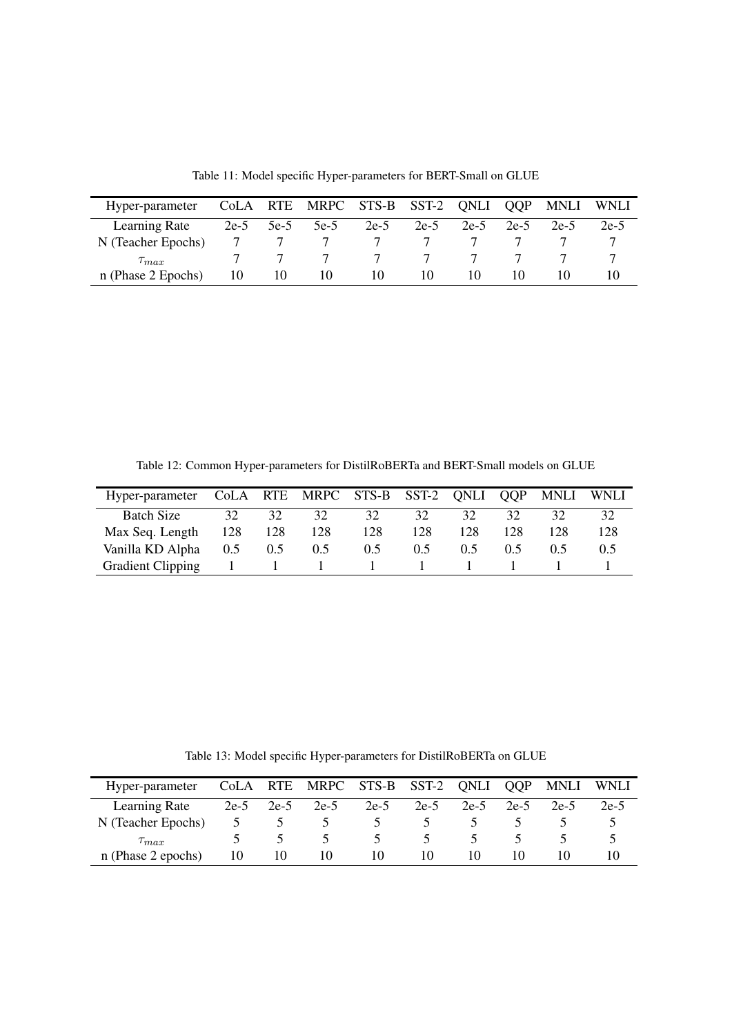| Hyper-parameter    |        |        | CoLA RTE MRPC STS-B SST-2 QNLI |        |      |        | <b>QOP</b> | <b>MNLI</b> | <b>WNLI</b> |
|--------------------|--------|--------|--------------------------------|--------|------|--------|------------|-------------|-------------|
| Learning Rate      | $2e-5$ | $5e-5$ | $5e-5$                         | $2e-5$ | 2e-5 | $2e-5$ | $2e-5$     | $2e-5$      | 2e-5        |
| N (Teacher Epochs) |        |        |                                |        |      |        |            |             |             |
| $\tau_{max}$       |        |        |                                | 7      |      |        |            |             |             |
| n (Phase 2 Epochs) | 10     | 10     | 10                             | 10     | 10   | 10     | 10         |             |             |

Table 11: Model specific Hyper-parameters for BERT-Small on GLUE

Table 12: Common Hyper-parameters for DistilRoBERTa and BERT-Small models on GLUE

| Hyper-parameter CoLA RTE MRPC STS-B SST-2 QNLI QQP |                   |               |               |               |               |      |     |     | MNLI WNLI |
|----------------------------------------------------|-------------------|---------------|---------------|---------------|---------------|------|-----|-----|-----------|
| Batch Size                                         | 32                | 32            | 32            | 32            | 32            | 32   | 32  | 32  | 32        |
| Max Seq. Length                                    | 128               | 128           | 128           | 128           | 128           | 128. | 128 | 128 | 128       |
| Vanilla KD Alpha                                   | 0.5               | $0.5^{\circ}$ | $0.5^{\circ}$ | $0.5^{\circ}$ | $0.5^{\circ}$ | 0.5  | 0.5 |     | 0.5       |
| <b>Gradient Clipping</b>                           | <b>The Common</b> |               |               |               |               |      |     |     |           |

Table 13: Model specific Hyper-parameters for DistilRoBERTa on GLUE

| Hyper-parameter    |               |        | CoLA RTE MRPC STS-B SST-2 |        |               | QNLI   | <b>QOP</b> | <b>MNLI</b> | <b>WNLI</b> |
|--------------------|---------------|--------|---------------------------|--------|---------------|--------|------------|-------------|-------------|
| Learning Rate      | $2e-5$        | $2e-5$ | $2e-5$                    | $2e-5$ | $2e-5$        | $2e-5$ | $2e-5$     | $2e-5$      | 2e-5        |
| N (Teacher Epochs) | $\mathcal{D}$ |        |                           |        |               |        |            |             |             |
| $\tau_{max}$       |               |        |                           |        | $\mathcal{L}$ |        |            |             |             |
| n (Phase 2 epochs) | 10            | 10     | 10                        | 10     | 10            | 10     | 10         |             |             |